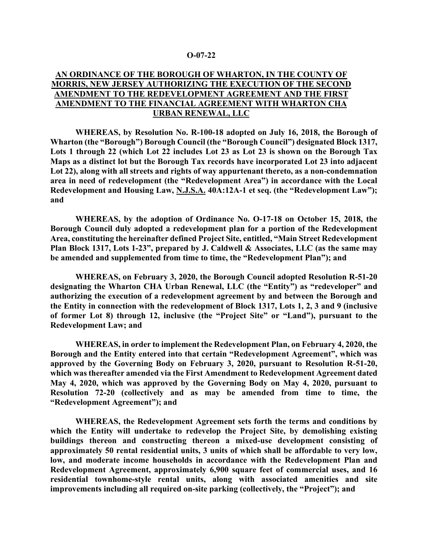## **O-07-22**

## **AN ORDINANCE OF THE BOROUGH OF WHARTON, IN THE COUNTY OF MORRIS, NEW JERSEY AUTHORIZING THE EXECUTION OF THE SECOND AMENDMENT TO THE REDEVELOPMENT AGREEMENT AND THE FIRST AMENDMENT TO THE FINANCIAL AGREEMENT WITH WHARTON CHA URBAN RENEWAL, LLC**

**WHEREAS, by Resolution No. R-100-18 adopted on July 16, 2018, the Borough of Wharton (the "Borough") Borough Council (the "Borough Council") designated Block 1317, Lots 1 through 22 (which Lot 22 includes Lot 23 as Lot 23 is shown on the Borough Tax Maps as a distinct lot but the Borough Tax records have incorporated Lot 23 into adjacent Lot 22), along with all streets and rights of way appurtenant thereto, as a non-condemnation area in need of redevelopment (the "Redevelopment Area") in accordance with the Local Redevelopment and Housing Law, N.J.S.A. 40A:12A-1 et seq. (the "Redevelopment Law"); and**

**WHEREAS, by the adoption of Ordinance No. O-17-18 on October 15, 2018, the Borough Council duly adopted a redevelopment plan for a portion of the Redevelopment Area, constituting the hereinafter defined Project Site, entitled, "Main Street Redevelopment Plan Block 1317, Lots 1-23", prepared by J. Caldwell & Associates, LLC (as the same may be amended and supplemented from time to time, the "Redevelopment Plan"); and** 

**WHEREAS, on February 3, 2020, the Borough Council adopted Resolution R-51-20 designating the Wharton CHA Urban Renewal, LLC (the "Entity") as "redeveloper" and authorizing the execution of a redevelopment agreement by and between the Borough and the Entity in connection with the redevelopment of Block 1317, Lots 1, 2, 3 and 9 (inclusive of former Lot 8) through 12, inclusive (the "Project Site" or "Land"), pursuant to the Redevelopment Law; and** 

**WHEREAS, in order to implement the Redevelopment Plan, on February 4, 2020, the Borough and the Entity entered into that certain "Redevelopment Agreement", which was approved by the Governing Body on February 3, 2020, pursuant to Resolution R-51-20, which was thereafter amended via the First Amendment to Redevelopment Agreement dated May 4, 2020, which was approved by the Governing Body on May 4, 2020, pursuant to Resolution 72-20 (collectively and as may be amended from time to time, the "Redevelopment Agreement"); and**

**WHEREAS, the Redevelopment Agreement sets forth the terms and conditions by which the Entity will undertake to redevelop the Project Site, by demolishing existing buildings thereon and constructing thereon a mixed-use development consisting of approximately 50 rental residential units, 3 units of which shall be affordable to very low, low, and moderate income households in accordance with the Redevelopment Plan and Redevelopment Agreement, approximately 6,900 square feet of commercial uses, and 16 residential townhome-style rental units, along with associated amenities and site improvements including all required on-site parking (collectively, the "Project"); and**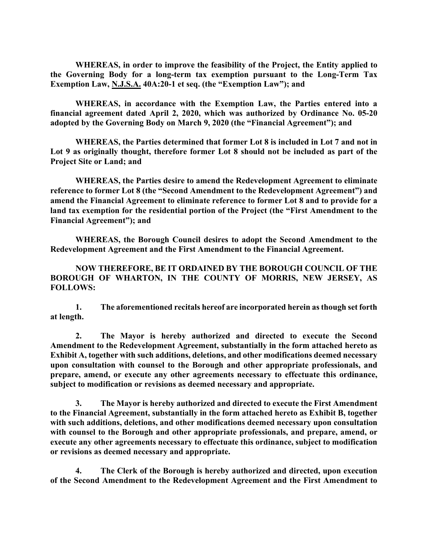**WHEREAS, in order to improve the feasibility of the Project, the Entity applied to the Governing Body for a long-term tax exemption pursuant to the Long-Term Tax Exemption Law, N.J.S.A. 40A:20-1 et seq. (the "Exemption Law"); and**

**WHEREAS, in accordance with the Exemption Law, the Parties entered into a financial agreement dated April 2, 2020, which was authorized by Ordinance No. 05-20 adopted by the Governing Body on March 9, 2020 (the "Financial Agreement"); and**

**WHEREAS, the Parties determined that former Lot 8 is included in Lot 7 and not in Lot 9 as originally thought, therefore former Lot 8 should not be included as part of the Project Site or Land; and**

**WHEREAS, the Parties desire to amend the Redevelopment Agreement to eliminate reference to former Lot 8 (the "Second Amendment to the Redevelopment Agreement") and amend the Financial Agreement to eliminate reference to former Lot 8 and to provide for a land tax exemption for the residential portion of the Project (the "First Amendment to the Financial Agreement"); and**

**WHEREAS, the Borough Council desires to adopt the Second Amendment to the Redevelopment Agreement and the First Amendment to the Financial Agreement.**

**NOW THEREFORE, BE IT ORDAINED BY THE BOROUGH COUNCIL OF THE BOROUGH OF WHARTON, IN THE COUNTY OF MORRIS, NEW JERSEY, AS FOLLOWS:**

**1. The aforementioned recitals hereof are incorporated herein as though set forth at length.**

**2. The Mayor is hereby authorized and directed to execute the Second Amendment to the Redevelopment Agreement, substantially in the form attached hereto as Exhibit A, together with such additions, deletions, and other modifications deemed necessary upon consultation with counsel to the Borough and other appropriate professionals, and prepare, amend, or execute any other agreements necessary to effectuate this ordinance, subject to modification or revisions as deemed necessary and appropriate.**

**3. The Mayor is hereby authorized and directed to execute the First Amendment to the Financial Agreement, substantially in the form attached hereto as Exhibit B, together with such additions, deletions, and other modifications deemed necessary upon consultation with counsel to the Borough and other appropriate professionals, and prepare, amend, or execute any other agreements necessary to effectuate this ordinance, subject to modification or revisions as deemed necessary and appropriate.**

**4. The Clerk of the Borough is hereby authorized and directed, upon execution of the Second Amendment to the Redevelopment Agreement and the First Amendment to**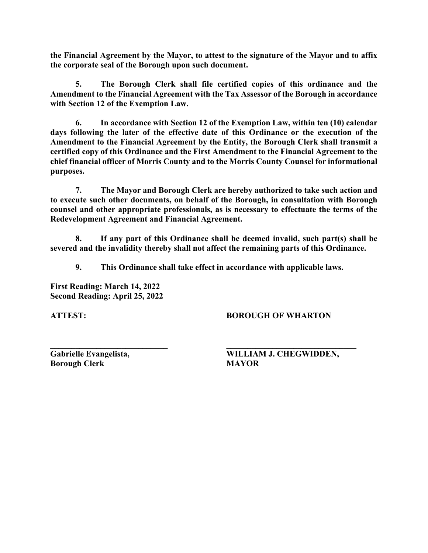**the Financial Agreement by the Mayor, to attest to the signature of the Mayor and to affix the corporate seal of the Borough upon such document.**

**5. The Borough Clerk shall file certified copies of this ordinance and the Amendment to the Financial Agreement with the Tax Assessor of the Borough in accordance with Section 12 of the Exemption Law.**

**6. In accordance with Section 12 of the Exemption Law, within ten (10) calendar days following the later of the effective date of this Ordinance or the execution of the Amendment to the Financial Agreement by the Entity, the Borough Clerk shall transmit a certified copy of this Ordinance and the First Amendment to the Financial Agreement to the chief financial officer of Morris County and to the Morris County Counsel for informational purposes.**

**7. The Mayor and Borough Clerk are hereby authorized to take such action and to execute such other documents, on behalf of the Borough, in consultation with Borough counsel and other appropriate professionals, as is necessary to effectuate the terms of the Redevelopment Agreement and Financial Agreement.**

**8. If any part of this Ordinance shall be deemed invalid, such part(s) shall be severed and the invalidity thereby shall not affect the remaining parts of this Ordinance.**

**9. This Ordinance shall take effect in accordance with applicable laws.**

**First Reading: March 14, 2022 Second Reading: April 25, 2022**

**ATTEST: BOROUGH OF WHARTON**

**Borough Clerk MAYOR**

**\_\_\_\_\_\_\_\_\_\_\_\_\_\_\_\_\_\_\_\_\_\_\_\_\_\_\_\_ \_\_\_\_\_\_\_\_\_\_\_\_\_\_\_\_\_\_\_\_\_\_\_\_\_\_\_\_\_\_\_ Gabrielle Evangelista, WILLIAM J. CHEGWIDDEN,**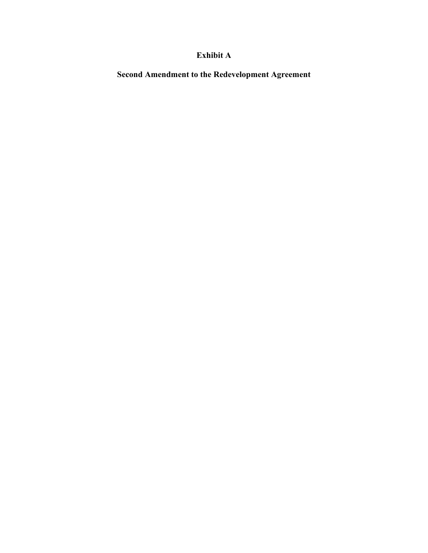## **Exhibit A**

**Second Amendment to the Redevelopment Agreement**